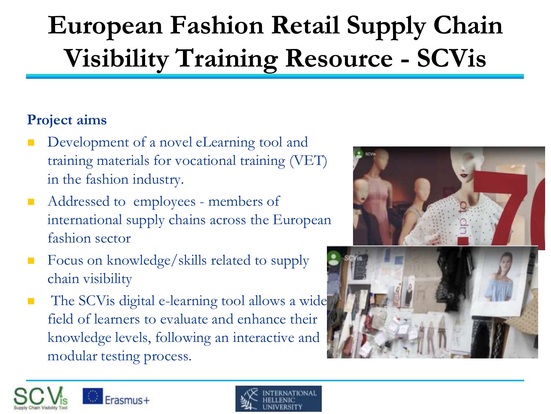# **European Fashion Retail Supply Chain Visibility Training Resource - SCVis**

## **Project aims**

- Development of a novel eLearning tool and training materials for vocational training (VET) in the fashion industry.
- Addressed to employees members of international supply chains across the European fashion sector
- Focus on knowledge/skills related to supply chain visibility
- The SCV is digital e-learning tool allows a wide field of learners to evaluate and enhance their knowledge levels, following an interactive and modular testing process.







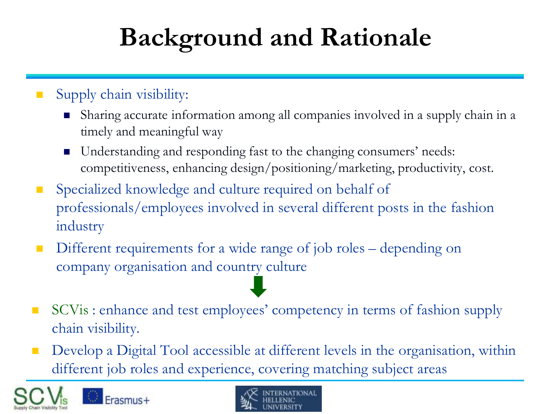# **Background and Rationale**

- Supply chain visibility:
	- Sharing accurate information among all companies involved in a supply chain in a timely and meaningful way
	- Understanding and responding fast to the changing consumers' needs: competitiveness, enhancing design/positioning/marketing, productivity, cost.
- Specialized knowledge and culture required on behalf of professionals/employees involved in several different posts in the fashion industry
- Different requirements for a wide range of job roles depending on company organisation and country culture
- SCVis : enhance and test employees' competency in terms of fashion supply chain visibility.
- **Develop a Digital Tool accessible at different levels in the organisation, within** different job roles and experience, covering matching subject areas

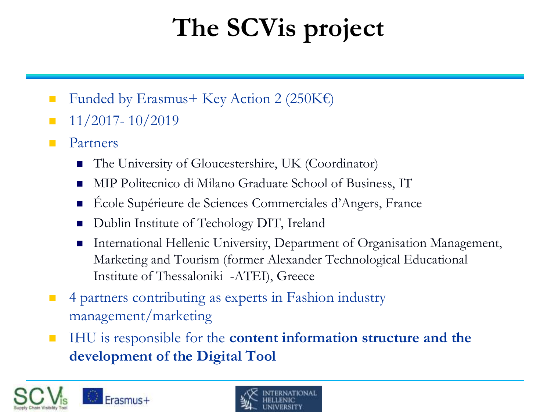# **The SCVis project**

- Funded by Erasmus + Key Action 2 (250K $\varepsilon$ )
- $\blacksquare$  11/2017- 10/2019
- **Partners** 
	- The University of Gloucestershire, UK (Coordinator)
	- MIP Politecnico di Milano Graduate School of Business, IT
	- École Supérieure de Sciences Commerciales d'Angers, France
	- Dublin Institute of Techology DIT, Ireland
	- International Hellenic University, Department of Organisation Management, Marketing and Tourism (former Alexander Technological Educational Institute of Thessaloniki -ATEI), Greece
- <sup>4</sup> 4 partners contributing as experts in Fashion industry management/marketing
- **IHU** is responsible for the **content information structure and the development of the Digital Tool**

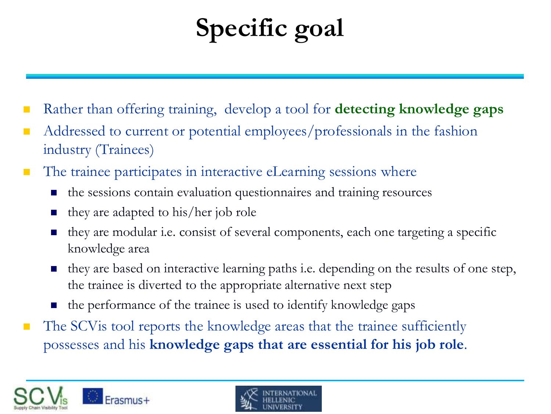# **Specific goal**

- Rather than offering training, develop a tool for **detecting knowledge gaps**
- Addressed to current or potential employees/professionals in the fashion industry (Trainees)
- The trainee participates in interactive eLearning sessions where
	- $\blacksquare$  the sessions contain evaluation questionnaires and training resources
	- they are adapted to his/her job role
	- they are modular i.e. consist of several components, each one targeting a specific knowledge area
	- $\blacksquare$  they are based on interactive learning paths i.e. depending on the results of one step, the trainee is diverted to the appropriate alternative next step
	- the performance of the trainee is used to identify knowledge gaps
- The SCVis tool reports the knowledge areas that the trainee sufficiently possesses and his **knowledge gaps that are essential for his job role**.



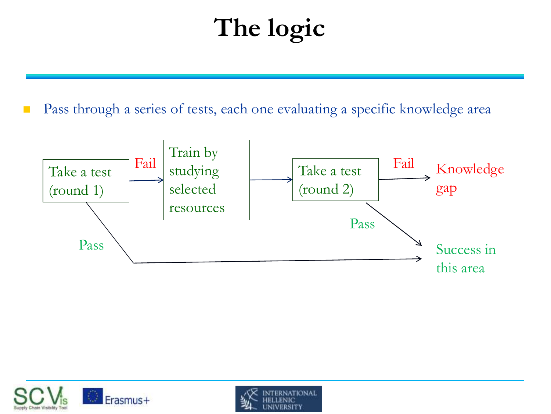# **The logic**

**Pass through a series of tests, each one evaluating a specific knowledge area** 





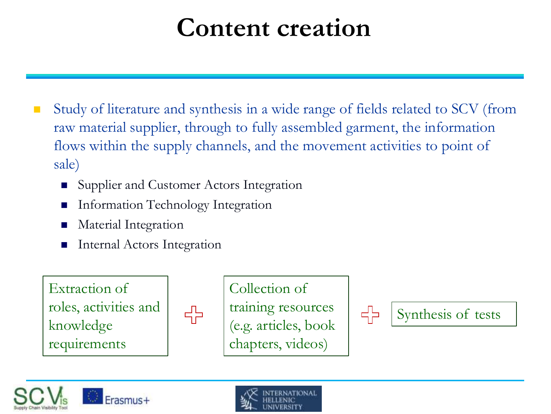## **Content creation**

- Study of literature and synthesis in a wide range of fields related to SCV (from raw material supplier, through to fully assembled garment, the information flows within the supply channels, and the movement activities to point of sale)
	- Supplier and Customer Actors Integration
	- Information Technology Integration
	- Material Integration
	- Internal Actors Integration

Extraction of roles, activities and knowledge requirements



Collection of training resources (e.g. articles, book chapters, videos)





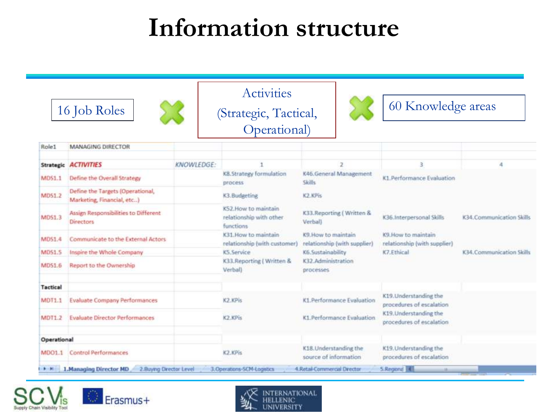## **Information structure**

|               | 16 Job Roles                                                   | (Strategic, Tactical,<br>Operational) |                                                              |                                                           | 60 Knowledge areas                                 |                           |
|---------------|----------------------------------------------------------------|---------------------------------------|--------------------------------------------------------------|-----------------------------------------------------------|----------------------------------------------------|---------------------------|
|               |                                                                |                                       |                                                              |                                                           |                                                    |                           |
| Role1         | <b>MANAGING DIRECTOR</b>                                       |                                       |                                                              |                                                           |                                                    |                           |
|               | Strategic ACTIVITIES                                           | <b>KNOWLEDGE:</b>                     | K8.Strategy formulation<br>process                           |                                                           | 3<br>K1. Performance Evaluation                    | A                         |
| <b>MDS1.1</b> | Define the Overall Strategy                                    |                                       |                                                              | K46.General Management<br>Skills                          |                                                    |                           |
| <b>MDS1.2</b> | Define the Targets (Operational,<br>Marketing, Financial, etc) |                                       | K3.Budgeting                                                 | K2.KPis                                                   |                                                    |                           |
| <b>MDS1.3</b> | Assign Responsibilities to Different<br><b>Directors</b>       |                                       | K52. How to maintain<br>relationship with other<br>functions | K33. Reporting (Written &<br>Verball                      | K36.Interpersonal Skills                           | K34. Communication Skills |
| <b>MDS1.4</b> | Communicate to the External Actors                             |                                       | K31 How to maintain<br>relationship (with customer)          | <b>K9 How to maintain</b><br>relationship (with supplier) | K9 How to maintain<br>relationship (with supplier) |                           |
| MD51.5        | Inspire the Whole Company                                      |                                       | K5. Service                                                  | K6. Sustainability                                        | K7.Ethical                                         | K34. Communication Skills |
| MDS1.6        | Report to the Ownership                                        |                                       | K33.Reporting (Written &<br>Verbal)                          | K32 Administration<br>processes                           |                                                    |                           |
| Tactical      |                                                                |                                       |                                                              |                                                           |                                                    |                           |
| <b>MDT1.1</b> | <b>Evaluate Company Performances</b>                           |                                       | K2.KPis                                                      | K1.Performance Evaluation                                 | K19. Understanding the<br>procedures of escalation |                           |
| <b>MDT1.2</b> | <b>Evaluate Director Performances</b>                          |                                       | K2.KPis                                                      | K1.Performance Evaluation                                 | K19. Understanding the<br>procedures of escalation |                           |
| Operational   |                                                                |                                       |                                                              |                                                           |                                                    |                           |
| MDO1.1        | <b>Control Performances</b>                                    |                                       | K2.KPis                                                      | K18. Understanding the<br>source of information           | K19. Understanding the<br>procedures of escalation |                           |





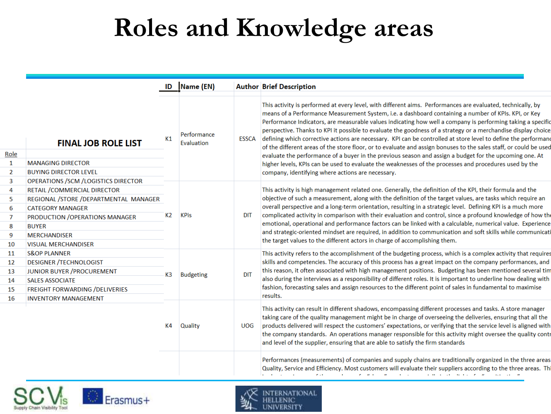## **Roles and Knowledge areas**

|          | <b>FINAL JOB ROLE LIST</b>                               | ID                   | Name (EN)                       |                          | <b>Author Brief Description</b>                                                                                                                                                                                                                                                                                                                                                                                                                                                                                                                                                                                                                                                                                                                                                                                                                                                                                                                                     |
|----------|----------------------------------------------------------|----------------------|---------------------------------|--------------------------|---------------------------------------------------------------------------------------------------------------------------------------------------------------------------------------------------------------------------------------------------------------------------------------------------------------------------------------------------------------------------------------------------------------------------------------------------------------------------------------------------------------------------------------------------------------------------------------------------------------------------------------------------------------------------------------------------------------------------------------------------------------------------------------------------------------------------------------------------------------------------------------------------------------------------------------------------------------------|
| Role     |                                                          | K1                   | Performance<br>Evaluation       | ESSCA                    | This activity is performed at every level, with different aims. Performances are evaluated, technically, by<br>means of a Performance Measurement System, i.e. a dashboard containing a number of KPIs. KPI, or Key<br>Performance Indicators, are measurable values indicating how well a company is performing taking a specific<br>perspective. Thanks to KPI it possible to evaluate the goodness of a strategy or a merchandise display choice<br>defining which corrective actions are necessary. KPI can be controlled at store level to define the performan<br>of the different areas of the store floor, or to evaluate and assign bonuses to the sales staff, or could be used<br>evaluate the performance of a buyer in the previous season and assign a budget for the upcoming one. At<br>higher levels, KPIs can be used to evaluate the weaknesses of the processes and procedures used by the<br>company, identifying where actions are necessary. |
| 1        | <b>MANAGING DIRECTOR</b>                                 |                      |                                 |                          |                                                                                                                                                                                                                                                                                                                                                                                                                                                                                                                                                                                                                                                                                                                                                                                                                                                                                                                                                                     |
| 2        | <b>BUYING DIRECTOR LEVEL</b>                             |                      |                                 |                          |                                                                                                                                                                                                                                                                                                                                                                                                                                                                                                                                                                                                                                                                                                                                                                                                                                                                                                                                                                     |
| 3        | OPERATIONS /SCM /LOGISTICS DIRECTOR                      | K2<br>K <sub>3</sub> | <b>KPis</b><br><b>Budgeting</b> | <b>DIT</b><br><b>DIT</b> | This activity is high management related one. Generally, the definition of the KPI, their formula and the<br>objective of such a measurement, along with the definition of the target values, are tasks which require an<br>overall perspective and a long-term orientation, resulting in a strategic level. Defining KPI is a much more                                                                                                                                                                                                                                                                                                                                                                                                                                                                                                                                                                                                                            |
| 4        | RETAIL / COMMERCIAL DIRECTOR                             |                      |                                 |                          |                                                                                                                                                                                                                                                                                                                                                                                                                                                                                                                                                                                                                                                                                                                                                                                                                                                                                                                                                                     |
| 5        | REGIONAL /STORE /DEPARTMENTAL MANAGER                    |                      |                                 |                          |                                                                                                                                                                                                                                                                                                                                                                                                                                                                                                                                                                                                                                                                                                                                                                                                                                                                                                                                                                     |
| 6        | <b>CATEGORY MANAGER</b>                                  |                      |                                 |                          | complicated activity in comparison with their evaluation and control, since a profound knowledge of how th                                                                                                                                                                                                                                                                                                                                                                                                                                                                                                                                                                                                                                                                                                                                                                                                                                                          |
| 7        | PRODUCTION / OPERATIONS MANAGER                          |                      |                                 |                          | emotional, operational and performance factors can be linked with a calculable, numerical value. Experience<br>and strategic-oriented mindset are required, in addition to communication and soft skills while communicat<br>the target values to the different actors in charge of accomplishing them.<br>This activity refers to the accomplishment of the budgeting process, which is a complex activity that require<br>skills and competencies. The accuracy of this process has a great impact on the company performances, and<br>this reason, it often associated with high management positions. Budgeting has been mentioned several tin<br>also during the interviews as a responsibility of different roles. It is important to underline how dealing with<br>fashion, forecasting sales and assign resources to the different point of sales in fundamental to maximise                                                                                |
| 8        | <b>BUYER</b>                                             |                      |                                 |                          |                                                                                                                                                                                                                                                                                                                                                                                                                                                                                                                                                                                                                                                                                                                                                                                                                                                                                                                                                                     |
| 9        | <b>MERCHANDISER</b>                                      |                      |                                 |                          |                                                                                                                                                                                                                                                                                                                                                                                                                                                                                                                                                                                                                                                                                                                                                                                                                                                                                                                                                                     |
| 10       | <b>VISUAL MERCHANDISER</b>                               |                      |                                 |                          |                                                                                                                                                                                                                                                                                                                                                                                                                                                                                                                                                                                                                                                                                                                                                                                                                                                                                                                                                                     |
| 11<br>12 | <b>S&amp;OP PLANNER</b><br><b>DESIGNER /TECHNOLOGIST</b> |                      |                                 |                          |                                                                                                                                                                                                                                                                                                                                                                                                                                                                                                                                                                                                                                                                                                                                                                                                                                                                                                                                                                     |
| 13       | JUNIOR BUYER / PROCUREMENT                               |                      |                                 |                          |                                                                                                                                                                                                                                                                                                                                                                                                                                                                                                                                                                                                                                                                                                                                                                                                                                                                                                                                                                     |
| 14       | <b>SALES ASSOCIATE</b>                                   |                      |                                 |                          |                                                                                                                                                                                                                                                                                                                                                                                                                                                                                                                                                                                                                                                                                                                                                                                                                                                                                                                                                                     |
| 15       | FREIGHT FORWARDING / DELIVERIES                          |                      |                                 |                          |                                                                                                                                                                                                                                                                                                                                                                                                                                                                                                                                                                                                                                                                                                                                                                                                                                                                                                                                                                     |
| 16       | <b>INVENTORY MANAGEMENT</b>                              |                      |                                 |                          | results.                                                                                                                                                                                                                                                                                                                                                                                                                                                                                                                                                                                                                                                                                                                                                                                                                                                                                                                                                            |
|          |                                                          | K4                   | <b>Quality</b>                  | <b>UOG</b>               | This activity can result in different shadows, encompassing different processes and tasks. A store manager<br>taking care of the quality management might be in charge of overseeing the deliveries, ensuring that all the<br>products delivered will respect the customers' expectations, or verifying that the service level is aligned with<br>the company standards. An operations manager responsible for this activity might oversee the quality cont<br>and level of the supplier, ensuring that are able to satisfy the firm standards                                                                                                                                                                                                                                                                                                                                                                                                                      |
|          |                                                          |                      |                                 |                          | Performances (measurements) of companies and supply chains are traditionally organized in the three areas<br>Quality, Service and Efficiency. Most customers will evaluate their suppliers according to the three areas. Th<br>the contract of the contract of the contract of the contract of the contract of the contract of the contract of the contract of the contract of the contract of the contract of the contract of the contract of the contract o                                                                                                                                                                                                                                                                                                                                                                                                                                                                                                       |





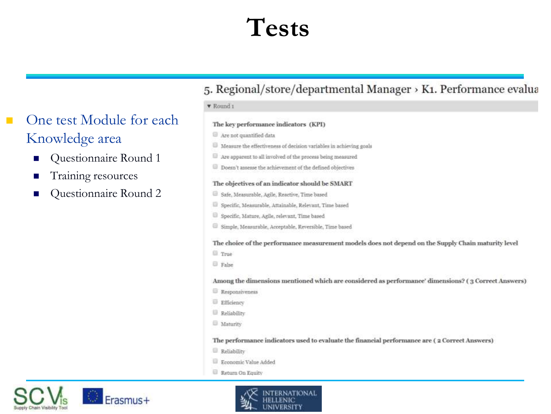## **Tests**

### One test Module for each  $\mathbf{r}$ Knowledge area

- Questionnaire Round 1  $\mathbf{r}$
- Training resources
- Questionnaire Round 2

### 5. Regional/store/departmental Manager > K1. Performance evalua

### ▼ Round 1

### The key performance indicators (KPI)

Are not quantified data

- <sup>13</sup> Measure the effectiveness of decision variables in achieving goals
- $\Box$  Are apparent to all involved of the process being measured
- Doesn't assesse the achievement of the defined objectives

### The objectives of an indicator should be SMART

- Safe, Measurable, Agile, Reactive, Time based
- El Specific, Measurable, Attainable, Relevant, Time based
- Specific, Mature, Agile, relevant, Time based
- Simple, Measurable, Acceptable, Reversible, Time based

#### The choice of the performance measurement models does not depend on the Supply Chain maturity level

- **True**
- **El False**

Among the dimensions mentioned which are considered as performance' dimensions? (3 Correct Answers)

- Responsiveness
- **Efficiency**
- Reliability
- **Maturity**

The performance indicators used to evaluate the financial performance are (2 Correct Answers)

- Reliability
- Economic Value Added
- Return On Equity

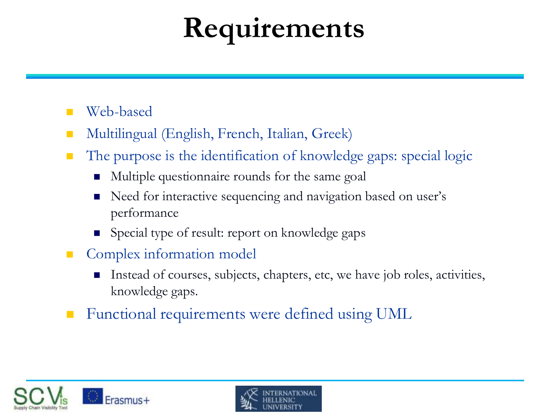# **Requirements**

## Web-based

- Multilingual (English, French, Italian, Greek)
- The purpose is the identification of knowledge gaps: special logic
	- Multiple questionnaire rounds for the same goal
	- Need for interactive sequencing and navigation based on user's performance
	- Special type of result: report on knowledge gaps
- **Complex information model** 
	- Instead of courses, subjects, chapters, etc, we have job roles, activities, knowledge gaps.
- Functional requirements were defined using UML



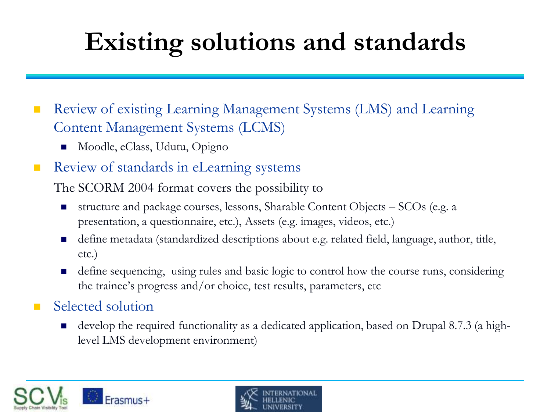# **Existing solutions and standards**

■ Review of existing Learning Management Systems (LMS) and Learning Content Management Systems (LCMS)

- Moodle, eClass, Udutu, Opigno
- Review of standards in eLearning systems

The SCORM 2004 format covers the possibility to

- structure and package courses, lessons, Sharable Content Objects  $-$  SCOs (e.g. a presentation, a questionnaire, etc.), Assets (e.g. images, videos, etc.)
- define metadata (standardized descriptions about e.g. related field, language, author, title, etc.)
- define sequencing, using rules and basic logic to control how the course runs, considering the trainee's progress and/or choice, test results, parameters, etc

## Selected solution

■ develop the required functionality as a dedicated application, based on Drupal 8.7.3 (a highlevel LMS development environment)



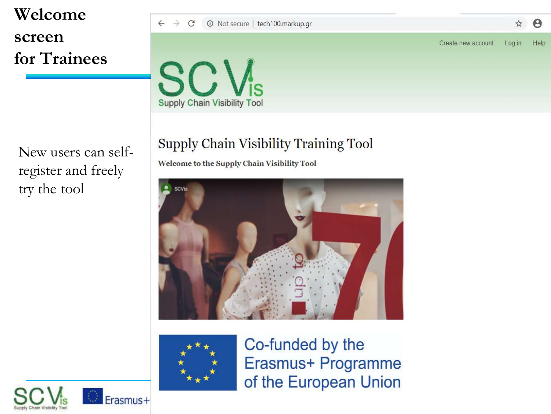## **Welcome screen for Trainees**

New users can selfregister and freely try the tool

### $\leftarrow$  $\rightarrow$  $\mathcal{C}$ 10 Not secure | tech100.markup.gr Create new account

 $\boldsymbol{\Theta}$ 

Help

☆

Log in



## Supply Chain Visibility Training Tool

Welcome to the Supply Chain Visibility Tool





Co-funded by the Erasmus+ Programme of the European Union

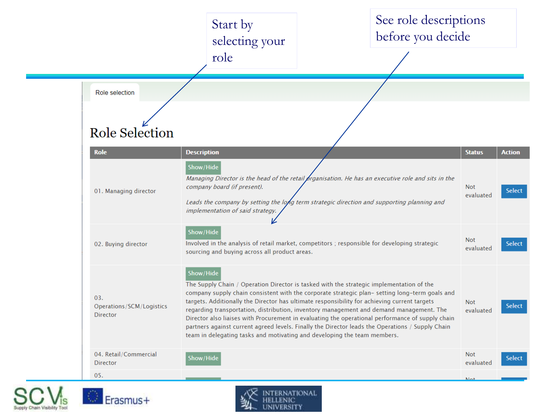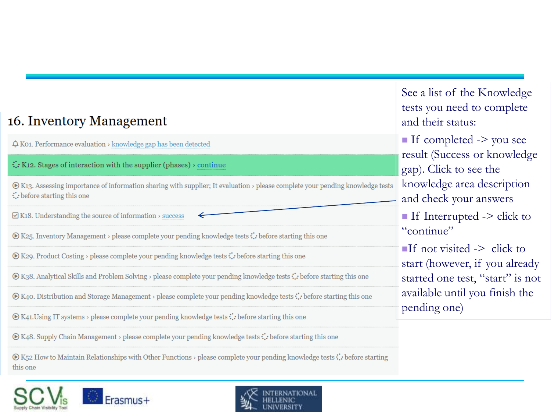## 16. Inventory Management

 $\Delta$  K01. Performance evaluation > knowledge gap has been detected

 $\therefore$  K12. Stages of interaction with the supplier (phases)  $\rightarrow$  continue

◉ K13. Assessing importance of information sharing with supplier; It evaluation > please complete your pending knowledge tests  $\therefore$  before starting this one

 $\Box$  K18. Understanding the source of information > success

 $\odot$  K25. Inventory Management > please complete your pending knowledge tests : : before starting this one

 $\odot$  K29. Product Costing > please complete your pending knowledge tests : : before starting this one

**⊙** K38. Analytical Skills and Problem Solving > please complete your pending knowledge tests : : before starting this one

⊙ K40. Distribution and Storage Management > please complete your pending knowledge tests : : before starting this one

 $\odot$  K41. Using IT systems > please complete your pending knowledge tests  $\ddot{\cdot}$ . before starting this one

 $\odot$  K48. Supply Chain Management > please complete your pending knowledge tests : : before starting this one

 $\circledast$  K52 How to Maintain Relationships with Other Functions > please complete your pending knowledge tests : : before starting this one

See a list of the Knowledge tests you need to complete and their status:

If completed  $\rightarrow$  you see result (Success or knowledge gap). Click to see the knowledge area description and check your answers If Interrupted  $\ge$  click to "continue"

 $\blacksquare$ If not visited -> click to start (however, if you already started one test, "start" is not available until you finish the pending one)

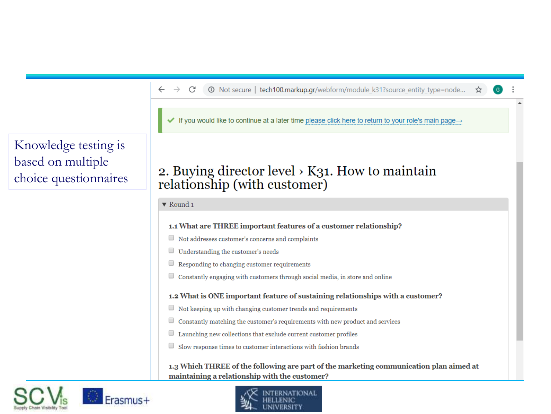#### 1 O Not secure | tech100.markup.gr/webform/module\_k31?source\_entity\_type=node... ☆  $\leftarrow$  $\rightarrow$ C

If you would like to continue at a later time please click here to return to your role's main page $\rightarrow$ 

## 2. Buying director level  $\times$  K31. How to maintain relationship (with customer)

 $\blacktriangledown$  Round 1

### 1.1 What are THREE important features of a customer relationship?

- $\Box$  Not addresses customer's concerns and complaints
- $\Box$  Understanding the customer's needs
- Responding to changing customer requirements □
- $\Box$  Constantly engaging with customers through social media, in store and online

### 1.2 What is ONE important feature of sustaining relationships with a customer?

- $\Box$  Not keeping up with changing customer trends and requirements
- $\hfill\Box$  <br> Constantly matching the customer's requirements with new product and services
- $\Box$  Launching new collections that exclude current customer profiles
- $\Box$  Slow response times to customer interactions with fashion brands

### 1.3 Which THREE of the following are part of the marketing communication plan aimed at maintaining a relationship with the customer?



## Knowledge testing is based on multiple choice questionnaires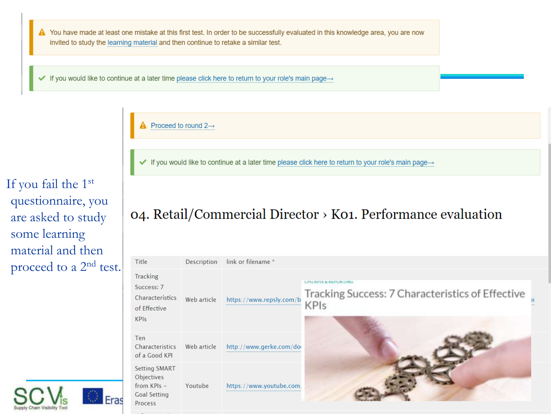You have made at least one mistake at this first test. In order to be successfully evaluated in this knowledge area, you are now invited to study the learning material and then continue to retake a similar test.

If you would like to continue at a later time please click here to return to your role's main page→ ✓

Proceed to round  $2 \rightarrow$ 

If you would like to continue at a later time please click here to return to your role's main page $\rightarrow$ 

If you fail the 1st questionnaire, you are asked to study some learning material and then proceed to a 2<sup>nd</sup> test.



04. Retail/Commercial Director > K01. Performance evaluation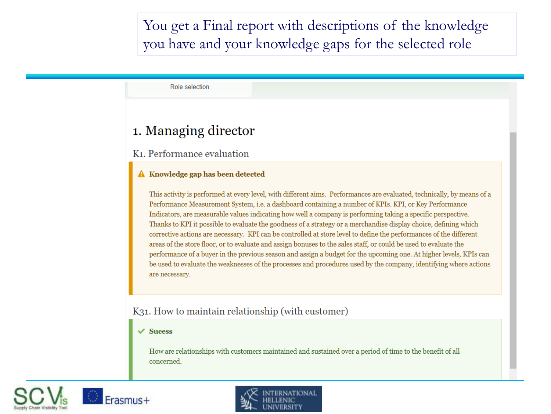You get a Final report with descriptions of the knowledge you have and your knowledge gaps for the selected role

Role selection

## 1. Managing director

### K<sub>1</sub>. Performance evaluation

### A Knowledge gap has been detected

This activity is performed at every level, with different aims. Performances are evaluated, technically, by means of a Performance Measurement System, i.e. a dashboard containing a number of KPIs. KPI, or Key Performance Indicators, are measurable values indicating how well a company is performing taking a specific perspective. Thanks to KPI it possible to evaluate the goodness of a strategy or a merchandise display choice, defining which corrective actions are necessary. KPI can be controlled at store level to define the performances of the different areas of the store floor, or to evaluate and assign bonuses to the sales staff, or could be used to evaluate the performance of a buyer in the previous season and assign a budget for the upcoming one. At higher levels, KPIs can be used to evaluate the weaknesses of the processes and procedures used by the company, identifying where actions are necessary.

### K31. How to maintain relationship (with customer)

#### $\checkmark$  Sucess

How are relationships with customers maintained and sustained over a period of time to the benefit of all concerned.





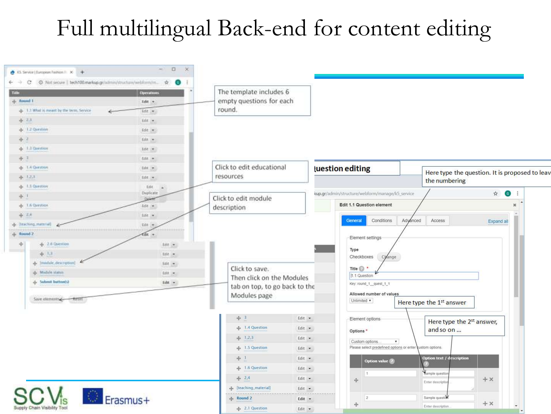## Full multilingual Back-end for content editing